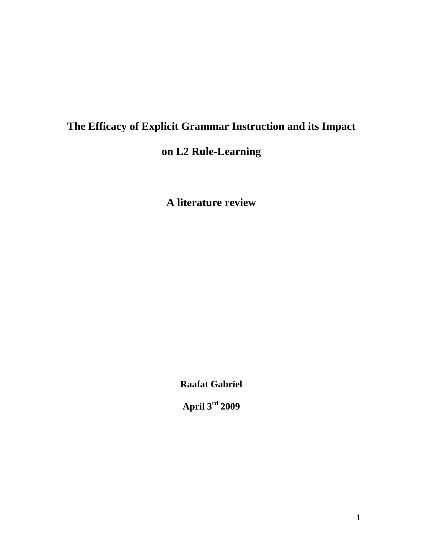# **The Efficacy of Explicit Grammar Instruction and its Impact**

# **on L2 Rule-Learning**

**A literature review**

**Raafat Gabriel**

**April 3rd 2009**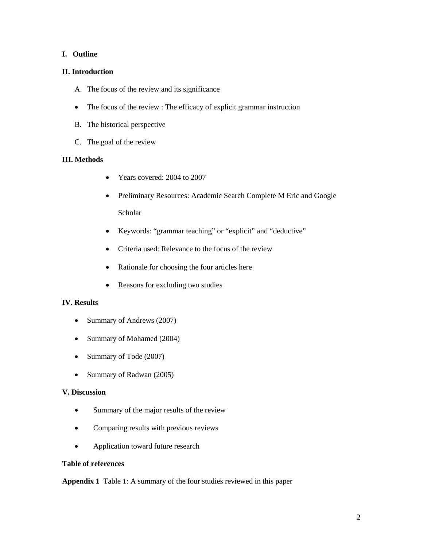# **I. Outline**

# **II. Introduction**

- A. The focus of the review and its significance
- The focus of the review : The efficacy of explicit grammar instruction
- B. The historical perspective
- C. The goal of the review

# **III. Methods**

- Years covered: 2004 to 2007
- Preliminary Resources: Academic Search Complete M Eric and Google Scholar
- Keywords: "grammar teaching" or "explicit" and "deductive"
- Criteria used: Relevance to the focus of the review
- Rationale for choosing the four articles here
- Reasons for excluding two studies

# **IV. Results**

- Summary of Andrews (2007)
- Summary of Mohamed (2004)
- Summary of Tode (2007)
- Summary of Radwan (2005)

# **V. Discussion**

- Summary of the major results of the review
- Comparing results with previous reviews
- Application toward future research

# **Table of references**

**Appendix 1** Table 1: A summary of the four studies reviewed in this paper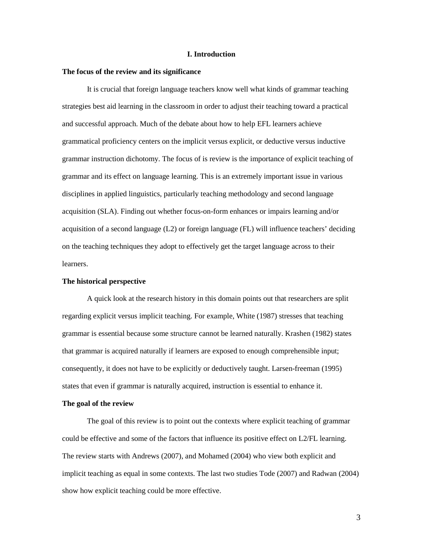#### **I. Introduction**

#### **The focus of the review and its significance**

It is crucial that foreign language teachers know well what kinds of grammar teaching strategies best aid learning in the classroom in order to adjust their teaching toward a practical and successful approach. Much of the debate about how to help EFL learners achieve grammatical proficiency centers on the implicit versus explicit, or deductive versus inductive grammar instruction dichotomy. The focus of is review is the importance of explicit teaching of grammar and its effect on language learning. This is an extremely important issue in various disciplines in applied linguistics, particularly teaching methodology and second language acquisition (SLA). Finding out whether focus-on-form enhances or impairs learning and/or acquisition of a second language (L2) or foreign language (FL) will influence teachers' deciding on the teaching techniques they adopt to effectively get the target language across to their learners.

## **The historical perspective**

A quick look at the research history in this domain points out that researchers are split regarding explicit versus implicit teaching. For example, White (1987) stresses that teaching grammar is essential because some structure cannot be learned naturally. Krashen (1982) states that grammar is acquired naturally if learners are exposed to enough comprehensible input; consequently, it does not have to be explicitly or deductively taught. Larsen-freeman (1995) states that even if grammar is naturally acquired, instruction is essential to enhance it.

#### **The goal of the review**

The goal of this review is to point out the contexts where explicit teaching of grammar could be effective and some of the factors that influence its positive effect on L2/FL learning. The review starts with Andrews (2007), and Mohamed (2004) who view both explicit and implicit teaching as equal in some contexts. The last two studies Tode (2007) and Radwan (2004) show how explicit teaching could be more effective.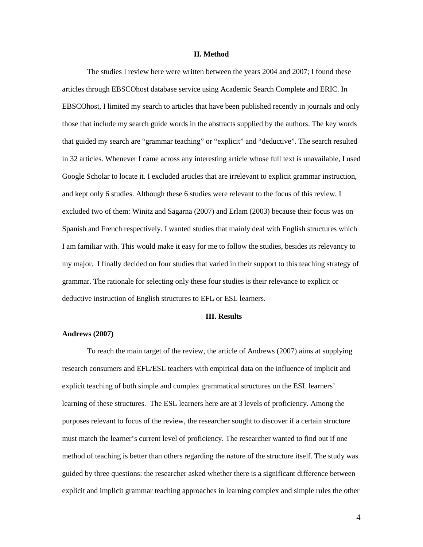#### **II. Method**

The studies I review here were written between the years 2004 and 2007; I found these articles through EBSCOhost database service using Academic Search Complete and ERIC. In EBSCOhost, I limited my search to articles that have been published recently in journals and only those that include my search guide words in the abstracts supplied by the authors. The key words that guided my search are "grammar teaching" or "explicit" and "deductive". The search resulted in 32 articles. Whenever I came across any interesting article whose full text is unavailable, I used Google Scholar to locate it. I excluded articles that are irrelevant to explicit grammar instruction, and kept only 6 studies. Although these 6 studies were relevant to the focus of this review, I excluded two of them: Winitz and Sagarna (2007) and Erlam (2003) because their focus was on Spanish and French respectively. I wanted studies that mainly deal with English structures which I am familiar with. This would make it easy for me to follow the studies, besides its relevancy to my major. I finally decided on four studies that varied in their support to this teaching strategy of grammar. The rationale for selecting only these four studies is their relevance to explicit or deductive instruction of English structures to EFL or ESL learners.

#### **III. Results**

#### **Andrews (2007)**

To reach the main target of the review, the article of Andrews (2007) aims at supplying research consumers and EFL/ESL teachers with empirical data on the influence of implicit and explicit teaching of both simple and complex grammatical structures on the ESL learners' learning of these structures. The ESL learners here are at 3 levels of proficiency. Among the purposes relevant to focus of the review, the researcher sought to discover if a certain structure must match the learner's current level of proficiency. The researcher wanted to find out if one method of teaching is better than others regarding the nature of the structure itself. The study was guided by three questions: the researcher asked whether there is a significant difference between explicit and implicit grammar teaching approaches in learning complex and simple rules the other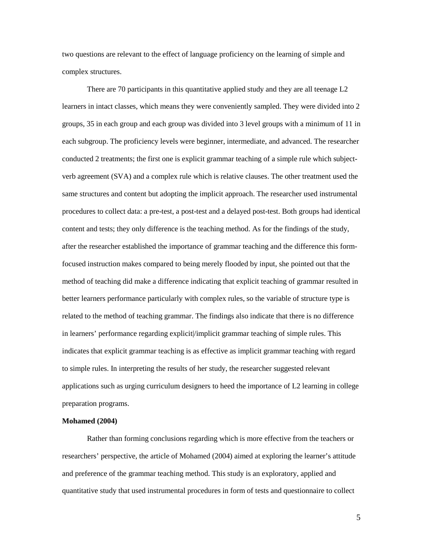two questions are relevant to the effect of language proficiency on the learning of simple and complex structures.

There are 70 participants in this quantitative applied study and they are all teenage L2 learners in intact classes, which means they were conveniently sampled. They were divided into 2 groups, 35 in each group and each group was divided into 3 level groups with a minimum of 11 in each subgroup. The proficiency levels were beginner, intermediate, and advanced. The researcher conducted 2 treatments; the first one is explicit grammar teaching of a simple rule which subjectverb agreement (SVA) and a complex rule which is relative clauses. The other treatment used the same structures and content but adopting the implicit approach. The researcher used instrumental procedures to collect data: a pre-test, a post-test and a delayed post-test. Both groups had identical content and tests; they only difference is the teaching method. As for the findings of the study, after the researcher established the importance of grammar teaching and the difference this formfocused instruction makes compared to being merely flooded by input, she pointed out that the method of teaching did make a difference indicating that explicit teaching of grammar resulted in better learners performance particularly with complex rules, so the variable of structure type is related to the method of teaching grammar. The findings also indicate that there is no difference in learners' performance regarding explicit/implicit grammar teaching of simple rules. This indicates that explicit grammar teaching is as effective as implicit grammar teaching with regard to simple rules. In interpreting the results of her study, the researcher suggested relevant applications such as urging curriculum designers to heed the importance of L2 learning in college preparation programs.

#### **Mohamed (2004)**

Rather than forming conclusions regarding which is more effective from the teachers or researchers' perspective, the article of Mohamed (2004) aimed at exploring the learner's attitude and preference of the grammar teaching method. This study is an exploratory, applied and quantitative study that used instrumental procedures in form of tests and questionnaire to collect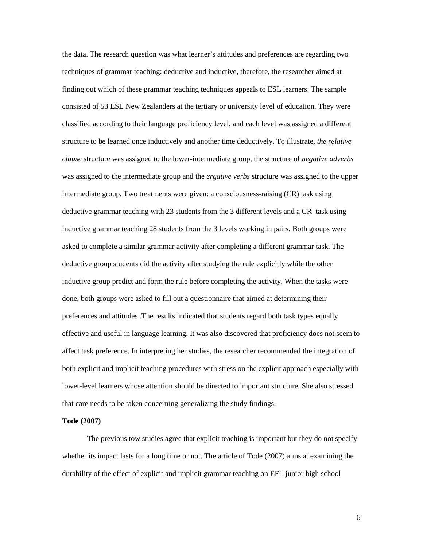the data. The research question was what learner's attitudes and preferences are regarding two techniques of grammar teaching: deductive and inductive, therefore, the researcher aimed at finding out which of these grammar teaching techniques appeals to ESL learners. The sample consisted of 53 ESL New Zealanders at the tertiary or university level of education. They were classified according to their language proficiency level, and each level was assigned a different structure to be learned once inductively and another time deductively. To illustrate, *the relative clause* structure was assigned to the lower-intermediate group, the structure of *negative adverbs* was assigned to the intermediate group and the *ergative verbs* structure was assigned to the upper intermediate group. Two treatments were given: a consciousness-raising (CR) task using deductive grammar teaching with 23 students from the 3 different levels and a CR task using inductive grammar teaching 28 students from the 3 levels working in pairs. Both groups were asked to complete a similar grammar activity after completing a different grammar task. The deductive group students did the activity after studying the rule explicitly while the other inductive group predict and form the rule before completing the activity. When the tasks were done, both groups were asked to fill out a questionnaire that aimed at determining their preferences and attitudes .The results indicated that students regard both task types equally effective and useful in language learning. It was also discovered that proficiency does not seem to affect task preference. In interpreting her studies, the researcher recommended the integration of both explicit and implicit teaching procedures with stress on the explicit approach especially with lower-level learners whose attention should be directed to important structure. She also stressed that care needs to be taken concerning generalizing the study findings.

#### **Tode (2007)**

 The previous tow studies agree that explicit teaching is important but they do not specify whether its impact lasts for a long time or not. The article of Tode (2007) aims at examining the durability of the effect of explicit and implicit grammar teaching on EFL junior high school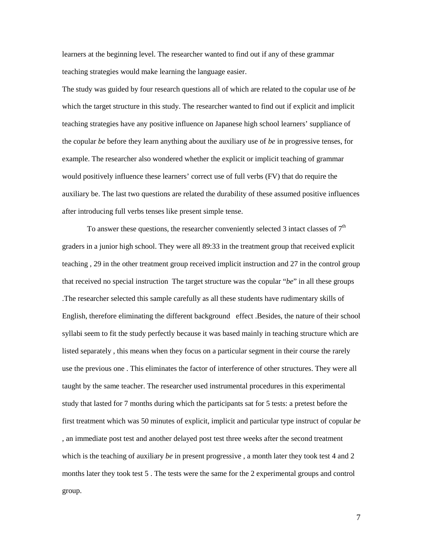learners at the beginning level. The researcher wanted to find out if any of these grammar teaching strategies would make learning the language easier.

The study was guided by four research questions all of which are related to the copular use of *be* which the target structure in this study. The researcher wanted to find out if explicit and implicit teaching strategies have any positive influence on Japanese high school learners' suppliance of the copular *be* before they learn anything about the auxiliary use of *be* in progressive tenses, for example. The researcher also wondered whether the explicit or implicit teaching of grammar would positively influence these learners' correct use of full verbs (FV) that do require the auxiliary be. The last two questions are related the durability of these assumed positive influences after introducing full verbs tenses like present simple tense.

To answer these questions, the researcher conveniently selected 3 intact classes of  $7<sup>th</sup>$ graders in a junior high school. They were all 89:33 in the treatment group that received explicit teaching , 29 in the other treatment group received implicit instruction and 27 in the control group that received no special instruction The target structure was the copular "*be*" in all these groups .The researcher selected this sample carefully as all these students have rudimentary skills of English, therefore eliminating the different background effect .Besides, the nature of their school syllabi seem to fit the study perfectly because it was based mainly in teaching structure which are listed separately , this means when they focus on a particular segment in their course the rarely use the previous one . This eliminates the factor of interference of other structures. They were all taught by the same teacher. The researcher used instrumental procedures in this experimental study that lasted for 7 months during which the participants sat for 5 tests: a pretest before the first treatment which was 50 minutes of explicit, implicit and particular type instruct of copular *be* , an immediate post test and another delayed post test three weeks after the second treatment which is the teaching of auxiliary *be* in present progressive, a month later they took test 4 and 2 months later they took test 5 . The tests were the same for the 2 experimental groups and control group.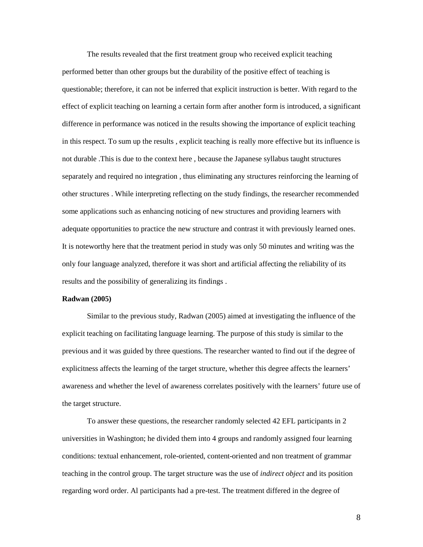The results revealed that the first treatment group who received explicit teaching performed better than other groups but the durability of the positive effect of teaching is questionable; therefore, it can not be inferred that explicit instruction is better. With regard to the effect of explicit teaching on learning a certain form after another form is introduced, a significant difference in performance was noticed in the results showing the importance of explicit teaching in this respect. To sum up the results , explicit teaching is really more effective but its influence is not durable .This is due to the context here , because the Japanese syllabus taught structures separately and required no integration , thus eliminating any structures reinforcing the learning of other structures . While interpreting reflecting on the study findings, the researcher recommended some applications such as enhancing noticing of new structures and providing learners with adequate opportunities to practice the new structure and contrast it with previously learned ones. It is noteworthy here that the treatment period in study was only 50 minutes and writing was the only four language analyzed, therefore it was short and artificial affecting the reliability of its results and the possibility of generalizing its findings .

#### **Radwan (2005)**

Similar to the previous study, Radwan (2005) aimed at investigating the influence of the explicit teaching on facilitating language learning. The purpose of this study is similar to the previous and it was guided by three questions. The researcher wanted to find out if the degree of explicitness affects the learning of the target structure, whether this degree affects the learners' awareness and whether the level of awareness correlates positively with the learners' future use of the target structure.

To answer these questions, the researcher randomly selected 42 EFL participants in 2 universities in Washington; he divided them into 4 groups and randomly assigned four learning conditions: textual enhancement, role-oriented, content-oriented and non treatment of grammar teaching in the control group. The target structure was the use of *indirect object* and its position regarding word order. Al participants had a pre-test. The treatment differed in the degree of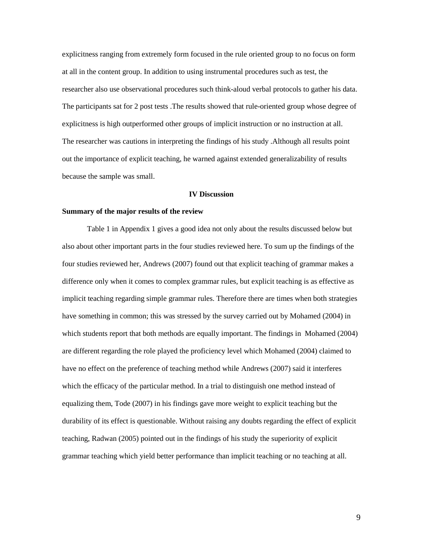explicitness ranging from extremely form focused in the rule oriented group to no focus on form at all in the content group. In addition to using instrumental procedures such as test, the researcher also use observational procedures such think-aloud verbal protocols to gather his data. The participants sat for 2 post tests .The results showed that rule-oriented group whose degree of explicitness is high outperformed other groups of implicit instruction or no instruction at all. The researcher was cautions in interpreting the findings of his study .Although all results point out the importance of explicit teaching, he warned against extended generalizability of results because the sample was small.

# **IV Discussion**

#### **Summary of the major results of the review**

Table 1 in Appendix 1 gives a good idea not only about the results discussed below but also about other important parts in the four studies reviewed here. To sum up the findings of the four studies reviewed her, Andrews (2007) found out that explicit teaching of grammar makes a difference only when it comes to complex grammar rules, but explicit teaching is as effective as implicit teaching regarding simple grammar rules. Therefore there are times when both strategies have something in common; this was stressed by the survey carried out by Mohamed (2004) in which students report that both methods are equally important. The findings in Mohamed (2004) are different regarding the role played the proficiency level which Mohamed (2004) claimed to have no effect on the preference of teaching method while Andrews (2007) said it interferes which the efficacy of the particular method. In a trial to distinguish one method instead of equalizing them, Tode (2007) in his findings gave more weight to explicit teaching but the durability of its effect is questionable. Without raising any doubts regarding the effect of explicit teaching, Radwan (2005) pointed out in the findings of his study the superiority of explicit grammar teaching which yield better performance than implicit teaching or no teaching at all.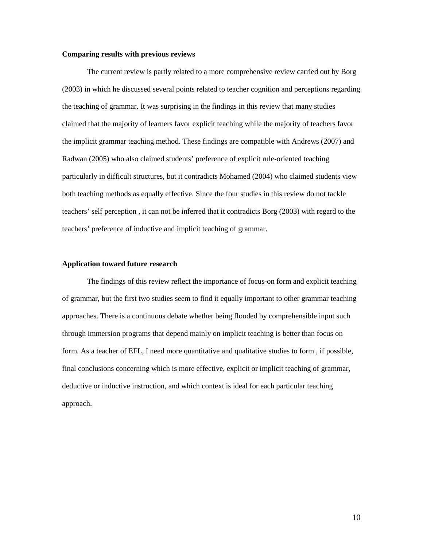#### **Comparing results with previous reviews**

The current review is partly related to a more comprehensive review carried out by Borg (2003) in which he discussed several points related to teacher cognition and perceptions regarding the teaching of grammar. It was surprising in the findings in this review that many studies claimed that the majority of learners favor explicit teaching while the majority of teachers favor the implicit grammar teaching method. These findings are compatible with Andrews (2007) and Radwan (2005) who also claimed students' preference of explicit rule-oriented teaching particularly in difficult structures, but it contradicts Mohamed (2004) who claimed students view both teaching methods as equally effective. Since the four studies in this review do not tackle teachers' self perception , it can not be inferred that it contradicts Borg (2003) with regard to the teachers' preference of inductive and implicit teaching of grammar.

#### **Application toward future research**

The findings of this review reflect the importance of focus-on form and explicit teaching of grammar, but the first two studies seem to find it equally important to other grammar teaching approaches. There is a continuous debate whether being flooded by comprehensible input such through immersion programs that depend mainly on implicit teaching is better than focus on form. As a teacher of EFL, I need more quantitative and qualitative studies to form , if possible, final conclusions concerning which is more effective, explicit or implicit teaching of grammar, deductive or inductive instruction, and which context is ideal for each particular teaching approach.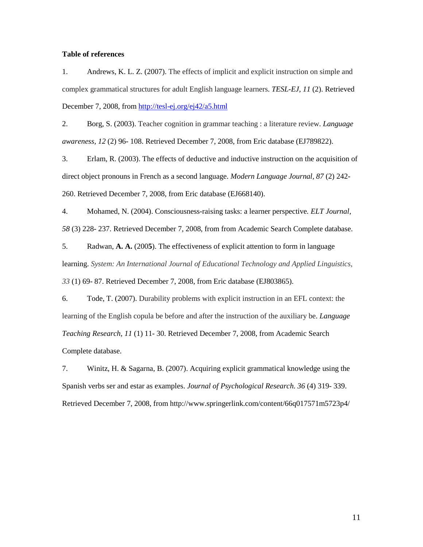### **Table of references**

1. Andrews, K. L. Z. (2007). The effects of implicit and explicit instruction on simple and complex grammatical structures for adult English language learners. *TESL-EJ, 11* (2). Retrieved December 7, 2008, from<http://tesl-ej.org/ej42/a5.html>

2. Borg, S. (2003). Teacher cognition in grammar teaching : a literature review. *Language awareness, 12* (2) 96- 108. Retrieved December 7, 2008, from Eric database (EJ789822).

3. Erlam, R. (2003). The effects of deductive and inductive instruction on the acquisition of direct object pronouns in French as a second language. *Modern Language Journal, 87* (2) 242- 260. Retrieved December 7, 2008, from Eric database (EJ668140).

4. Mohamed, N. (2004). Consciousness-raising tasks: a learner perspective*. ELT Journal, 58* (3) 228- 237. Retrieved December 7, 2008, from from Academic Search Complete database.

5. Radwan, **A. A.** (200**5**). The effectiveness of explicit attention to form in language learning. *System: An International Journal of Educational Technology and Applied Linguistics, 33* (1) 69- 87. Retrieved December 7, 2008, from Eric database (EJ803865).

6. Tode, T. (2007). Durability problems with explicit instruction in an EFL context: the learning of the English copula be before and after the instruction of the auxiliary be. *Language Teaching Research, 11* (1) 11- 30. Retrieved December 7, 2008, from Academic Search Complete database.

7. Winitz, H. & Sagarna, B. (2007). Acquiring explicit grammatical knowledge using the Spanish verbs ser and estar as examples. *Journal of Psychological Research. 36* (4) 319- 339. Retrieved December 7, 2008, from http://www.springerlink.com/content/66q017571m5723p4/